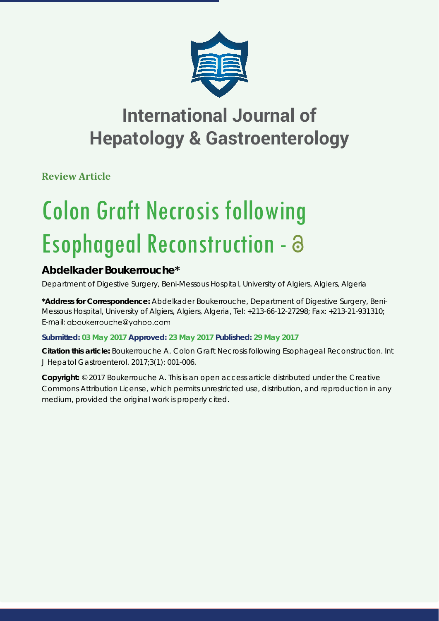

## **International Journal of Hepatology & Gastroenterology**

**Review Article**

# Colon Graft Necrosis following Esophageal Reconstruction -

### **Abdelkader Boukerrouche\***

*Department of Digestive Surgery, Beni-Messous Hospital, University of Algiers, Algiers, Algeria*

**\*Address for Correspondence:** Abdelkader Boukerrouche, Department of Digestive Surgery, Beni-Messous Hospital, University of Algiers, Algiers, Algeria, Tel: +213-66-12-27298; Fax: +213-21-931310; E-mail: aboukerrouche@yahoo.com

**Submitted: 03 May 2017 Approved: 23 May 2017 Published: 29 May 2017**

**Citation this article:** Boukerrouche A. Colon Graft Necrosis following Esophageal Reconstruction. Int J Hepatol Gastroenterol. 2017;3(1): 001-006.

**Copyright:** © 2017 Boukerrouche A. This is an open access article distributed under the Creative Commons Attribution License, which permits unrestricted use, distribution, and reproduction in any medium, provided the original work is properly cited.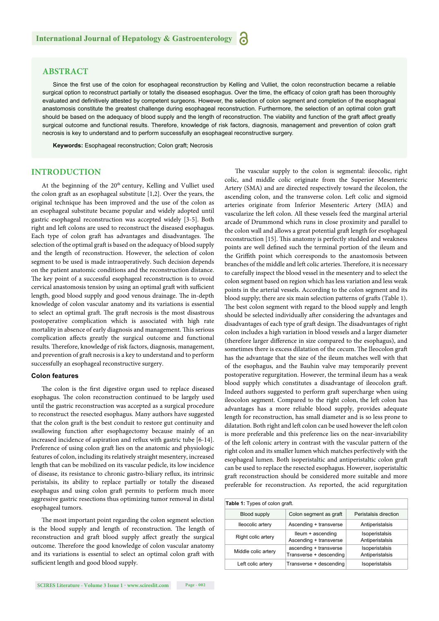#### **ABSTRACT**

Since the first use of the colon for esophageal reconstruction by Kelling and Vulliet, the colon reconstruction became a reliable surgical option to reconstruct partially or totally the diseased esophagus. Over the time, the efficacy of colon graft has been thoroughly evaluated and definitively attested by competent surgeons. However, the selection of colon segment and completion of the esophageal anastomosis constitute the greatest challenge during esophageal reconstruction. Furthermore, the selection of an optimal colon graft should be based on the adequacy of blood supply and the length of reconstruction. The viability and function of the graft affect greatly surgical outcome and functional results. Therefore, knowledge of risk factors, diagnosis, management and prevention of colon graft necrosis is key to understand and to perform successfully an esophageal reconstructive surgery.

**Keywords:** Esophageal reconstruction; Colon graft; Necrosis

#### **INTRODUCTION**

At the beginning of the 20<sup>th</sup> century, Kelling and Vulliet used the colon graft as an esophageal substitute [1,2]. Over the years, the original technique has been improved and the use of the colon as an esophageal substitute became popular and widely adopted until gastric esophageal reconstruction was accepted widely [3-5]. Both right and left colons are used to reconstruct the diseased esophagus. Each type of colon graft has advantages and disadvantages. The selection of the optimal graft is based on the adequacy of blood supply and the length of reconstruction. However, the selection of colon segment to be used is made intraoperatively. Such decision depends on the patient anatomic conditions and the reconstruction distance. The key point of a successful esophageal reconstruction is to ovoid cervical anastomosis tension by using an optimal graft with sufficient length, good blood supply and good venous drainage. The in-depth knowledge of colon vascular anatomy and its variations is essential to select an optimal graft. The graft necrosis is the most disastrous postoperative complication which is associated with high rate mortality in absence of early diagnosis and management. This serious complication affects greatly the surgical outcome and functional results. Therefore, knowledge of risk factors, diagnosis, management, and prevention of graft necrosis is a key to understand and to perform successfully an esophageal reconstructive surgery.

#### **Colon features**

The colon is the first digestive organ used to replace diseased esophagus. The colon reconstruction continued to be largely used until the gastric reconstruction was accepted as a surgical procedure to reconstruct the resected esophagus. Many authors have suggested that the colon graft is the best conduit to restore gut continuity and swallowing function after esophagectomy because mainly of an increased incidence of aspiration and reflux with gastric tube [6-14]. Preference of using colon graft lies on the anatomic and physiologic features of colon, including its relatively straight mesentery, increased length that can be mobilized on its vascular pedicle, its low incidence of disease, its resistance to chronic gastro-biliary reflux, its intrinsic peristalsis, its ability to replace partially or totally the diseased esophagus and using colon graft permits to perform much more aggressive gastric resections thus optimizing tumor removal in distal esophageal tumors.

The most important point regarding the colon segment selection is the blood supply and length of reconstruction. The length of reconstruction and graft blood supply affect greatly the surgical outcome. Therefore the good knowledge of colon vascular anatomy and its variations is essential to select an optimal colon graft with sufficient length and good blood supply.

The vascular supply to the colon is segmental: ileocolic, right colic, and middle colic originate from the Superior Mesenteric Artery (SMA) and are directed respectively toward the ilecolon, the ascending colon, and the transverse colon. Left colic and sigmoid arteries originate from Inferior Mesenteric Artery (MIA) and vascularize the left colon. All these vessels feed the marginal arterial arcade of Drummond which runs in close proximity and parallel to the colon wall and allows a great potential graft length for esophageal reconstruction [15]. This anatomy is perfectly studded and weakness points are well defined such the terminal portion of the ileum and the Griffith point which corresponds to the anastomosis between branches of the middle and left colic arteries. Therefore, it is necessary to carefully inspect the blood vessel in the mesentery and to select the colon segment based on region which has less variation and less weak points in the arterial vessels. According to the colon segment and its blood supply; there are six main selection patterns of grafts (Table 1). The best colon segment with regard to the blood supply and length should be selected individually after considering the advantages and disadvantages of each type of graft design. The disadvantages of right colon includes a high variation in blood vessels and a larger diameter (therefore larger difference in size compared to the esophagus), and sometimes there is excess dilatation of the cecum. The Ileocolon graft has the advantage that the size of the ileum matches well with that of the esophagus, and the Bauhin valve may temporarily prevent postoperative regurgitation. However, the terminal ileum has a weak blood supply which constitutes a disadvantage of ileocolon graft. Indeed authors suggested to perform graft supercharge when using ileocolon segment. Compared to the right colon, the left colon has advantages has a more reliable blood supply, provides adequate length for reconstruction, has small diameter and is so less prone to dilatation. Both right and left colon can be used however the left colon is more preferable and this preference lies on the near-invariability of the left colonic artery in contrast with the vascular pattern of the right colon and its smaller lumen which matches perfectively with the esophageal lumen. Both isoperistaltic and antiperistaltic colon graft can be used to replace the resected esophagus. However, isoperistaltic graft reconstruction should be considered more suitable and more preferable for reconstruction. As reported, the acid regurgitation

| Table 1: Types of colon graft. |                                                   |                                   |  |  |  |
|--------------------------------|---------------------------------------------------|-----------------------------------|--|--|--|
| <b>Blood supply</b>            | Colon segment as graft                            | Peristalsis direction             |  |  |  |
| Ileocolic artery               | Ascending + transverse                            | Antiperistalsis                   |  |  |  |
| Right colic artery             | lleum + ascending<br>Ascending + transverse       | Isoperistalsis<br>Antiperistalsis |  |  |  |
| Middle colic artery            | ascending + transverse<br>Transverse + descending | Isoperistalsis<br>Antiperistalsis |  |  |  |
| Left colic artery              | Transverse + descending                           | Isoperistalsis                    |  |  |  |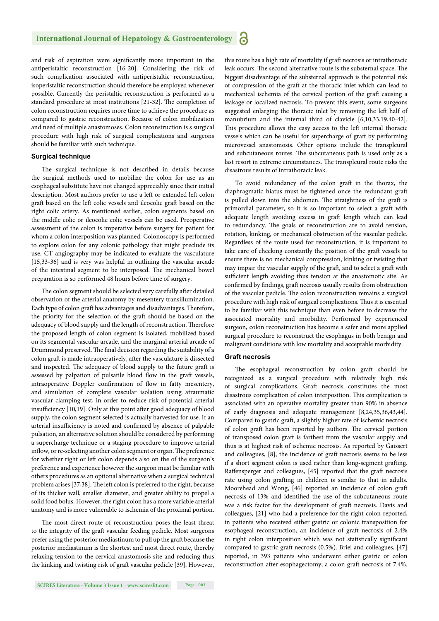and risk of aspiration were significantly more important in the antiperistaltic reconstruction [16-20]. Considering the risk of such complication associated with antiperistaltic reconstruction, isoperistaltic reconstruction should therefore be employed whenever possible. Currently the peristaltic reconstruction is performed as a standard procedure at most institutions [21-32]. The completion of colon reconstruction requires more time to achieve the procedure as compared to gastric reconstruction. Because of colon mobilization and need of multiple anastomoses. Colon reconstruction is s surgical procedure with high risk of surgical complications and surgeons should be familiar with such technique.

#### **Surgical technique**

The surgical technique is not described in details because the surgical methods used to mobilize the colon for use as an esophageal substitute have not changed appreciably since their initial description. Most authors prefer to use a left or extended left colon graft based on the left colic vessels and ileocolic graft based on the right colic artery. As mentioned earlier, colon segments based on the middle colic or ileocolic colic vessels can be used. Preoperative assessment of the colon is imperative before surgery for patient for whom a colon interposition was planned. Colonoscopy is performed to explore colon for any colonic pathology that might preclude its use. CT angiography may be indicated to evaluate the vasculature [15,33-36] and is very was helpful in outlining the vascular arcade of the intestinal segment to be interposed. The mechanical bowel preparation is so performed 48 hours before time of surgery.

The colon segment should be selected very carefully after detailed observation of the arterial anatomy by mesentery transillumination. Each type of colon graft has advantages and disadvantages. Therefore, the priority for the selection of the graft should be based on the adequacy of blood supply and the length of reconstruction. Therefore the proposed length of colon segment is isolated, mobilized based on its segmental vascular arcade, and the marginal arterial arcade of Drummond preserved. The final decision regarding the suitability of a colon graft is made intraoperatively, after the vasculature is dissected and inspected. The adequacy of blood supply to the future graft is assessed by palpation of pulsatile blood flow in the graft vessels, intraoperative Doppler confirmation of flow in fatty mesentery, and simulation of complete vascular isolation using atraumatic vascular clamping test, in order to reduce risk of potential arterial insufficiency  $[10,19]$ . Only at this point after good adequacy of blood supply, the colon segment selected is actually harvested for use. If an arterial insufficiency is noted and confirmed by absence of palpable pulsation, an alternative solution should be considered by performing a supercharge technique or a staging procedure to improve arterial inflow, or re-selecting another colon segment or organ. The preference for whether right or left colon depends also on the of the surgeon's preference and experience however the surgeon must be familiar with others procedures as an optional alternative when a surgical technical problem arises [37,38]. The left colon is preferred to the right, because of its thicker wall, smaller diameter, and greater ability to propel a solid food bolus. However, the right colon has a more variable arterial anatomy and is more vulnerable to ischemia of the proximal portion.

The most direct route of reconstruction poses the least threat to the integrity of the graft vascular feeding pedicle. Most surgeons prefer using the posterior mediastinum to pull up the graft because the posterior mediastinum is the shortest and most direct route, thereby relaxing tension to the cervical anastomosis site and reducing thus the kinking and twisting risk of graft vascular pedicle [39]. However,

this route has a high rate of mortality if graft necrosis or intrathoracic leak occurs. The second alternative route is the substernal space. The biggest disadvantage of the substernal approach is the potential risk of compression of the graft at the thoracic inlet which can lead to mechanical ischemia of the cervical portion of the graft causing a leakage or localized necrosis. To prevent this event, some surgeons suggested enlarging the thoracic inlet by removing the left half of manubrium and the internal third of clavicle [6,10,33,19,40-42]. This procedure allows the easy access to the left internal thoracic vessels which can be useful for supercharge of graft by performing microvessel anastomosis. Other options include the transpleural and subcutaneous routes. The subcutaneous path is used only as a last resort in extreme circumstances. The transpleural route risks the disastrous results of intrathoracic leak.

To avoid redundancy of the colon graft in the thorax, the diaphragmatic hiatus must be tightened once the redundant graft is pulled down into the abdomen. The straightness of the graft is primordial parameter, so it is so important to select a graft with adequate length avoiding excess in graft length which can lead to redundancy. The goals of reconstruction are to avoid tension, rotation, kinking, or mechanical obstruction of the vascular pedicle. Regardless of the route used for reconstruction, it is important to take care of checking constantly the position of the graft vessels to ensure there is no mechanical compression, kinking or twisting that may impair the vascular supply of the graft , and to select a graft with sufficient length avoiding thus tension at the anastomotic site. As confirmed by findings, graft necrosis usually results from obstruction of the vascular pedicle. The colon reconstruction remains a surgical procedure with high risk of surgical complications. Thus it is essential to be familiar with this technique than even before to decrease the associated mortality and morbidity. Performed by experienced surgeon, colon reconstruction has become a safer and more applied surgical procedure to reconstruct the esophagus in both benign and malignant conditions with low mortality and acceptable morbidity.

#### **Graft necrosis**

The esophageal reconstruction by colon graft should be recognized as a surgical procedure with relatively high risk of surgical complications. Graft necrosis constitutes the most disastrous complication of colon interposition. This complication is associated with an operative mortality greater than 90% in absence of early diagnosis and adequate management [8,24,35,36,43,44]. Compared to gastric graft, a slightly higher rate of ischemic necrosis of colon graft has been reported by authors. The cervical portion of transposed colon graft is farthest from the vascular supply and thus is at highest risk of ischemic necrosis. As reported by Gaissert and colleagues, [8], the incidence of graft necrosis seems to be less if a short segment colon is used rather than long-segment grafting. Raffensperger and colleagues, [45] reported that the graft necrosis rate using colon grafting in children is similar to that in adults. Moorehead and Wong, [46] reported an incidence of colon graft necrosis of 13% and identified the use of the subcutaneous route was a risk factor for the development of graft necrosis. Davis and colleagues, [21] who had a preference for the right colon reported, in patients who received either gastric or colonic transposition for esophageal reconstruction, an incidence of graft necrosis of 2.4% in right colon interposition which was not statistically significant compared to gastric graft necrosis (0.5%). Briel and colleagues, [47] reported, in 393 patients who underwent either gastric or colon reconstruction after esophagectomy, a colon graft necrosis of 7.4%.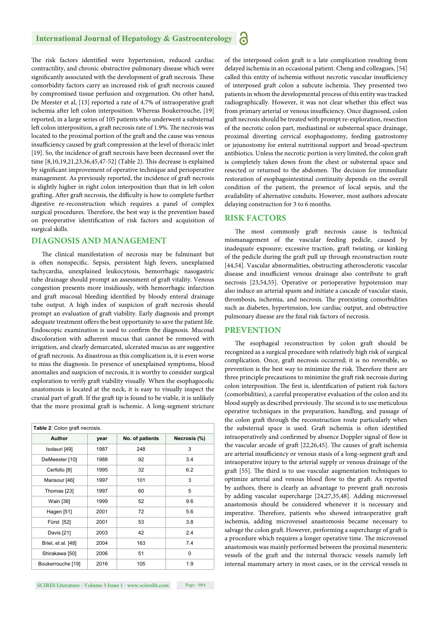#### **International Journal of Hepatology & Gastroenterology**

The risk factors identified were hypertension, reduced cardiac contractility, and chronic obstructive pulmonary disease which were significantly associated with the development of graft necrosis. These comorbidity factors carry an increased risk of graft necrosis caused by compromised tissue perfusion and oxygenation. On other hand, De Meester et al, [13] reported a rate of 4.7% of intraoperative graft ischemia after left colon interposition. Whereas Boukerrouche, [19] reported, in a large series of 105 patients who underwent a substernal left colon interposition, a graft necrosis rate of 1.9%. The necrosis was located to the proximal portion of the graft and the cause was venous insufficiency caused by graft compression at the level of thoracic inlet [19]. So, the incidence of graft necrosis have been decreased over the time  $[8, 10, 19, 21, 23, 36, 45, 47-52]$  (Table 2). This decrease is explained by significant improvement of operative technique and perioperative management. As previously reported, the incidence of graft necrosis is slightly higher in right colon interposition than that in left colon grafting. After graft necrosis, the difficulty is how to complete further digestive re-reconstruction which requires a panel of complex surgical procedures. Therefore, the best way is the prevention based on preoperative identification of risk factors and acquisition of surgical skills.

#### **DIAGNOSIS AND MANAGEMENT**

The clinical manifestation of necrosis may be fulminant but is often nonspecific. Sepsis, persistent high fevers, unexplained tachycardia, unexplained leukocytosis, hemorrhagic nasogastric tube drainage should prompt an assessment of graft vitality. Venous congestion presents more insidiously, with hemorrhagic infarction and graft mucosal bleeding identified by bloody enteral drainage tube output. A high index of suspicion of graft necrosis should prompt an evaluation of graft viability. Early diagnosis and prompt adequate treatment offers the best opportunity to save the patient life. Endoscopic examination is used to confirm the diagnosis. Mucosal discoloration with adherent mucus that cannot be removed with irrigation, and clearly demarcated, ulcerated mucus as are suggestive of graft necrosis. As disastrous as this complication is, it is even worse to miss the diagnosis. In presence of unexplained symptoms, blood anomalies and suspicion of necrosis, it is worthy to consider surgical exploration to verify graft viability visually. When the esophagocolic anastomosis is located at the neck, it is easy to visually inspect the cranial part of graft . If the graft tip is found to be viable, it is unlikely that the more proximal graft is ischemic. A long-segment stricture

| Table 2: Colon graft necrosis. |                    |      |                 |              |  |  |
|--------------------------------|--------------------|------|-----------------|--------------|--|--|
|                                | <b>Author</b>      | year | No. of patients | Necrosis (%) |  |  |
|                                | Isolauri [49]      | 1987 | 248             | 3            |  |  |
|                                | DeMeester [10]     | 1988 | 92              | 3.4          |  |  |
|                                | Cerfolio [8]       | 1995 | 32              | 6.2          |  |  |
|                                | Mansour [46]       | 1997 | 101             | 3            |  |  |
|                                | Thomas [23]        | 1997 | 60              | 5            |  |  |
|                                | Wain [36]          | 1999 | 52              | 9.6          |  |  |
|                                | Hagen [51]         | 2001 | 72              | 5.6          |  |  |
|                                | Fürst [52]         | 2001 | 53              | 3.8          |  |  |
|                                | Davis [21]         | 2003 | 42              | 2.4          |  |  |
|                                | Briel, et al. [48] | 2004 | 163             | 7.4          |  |  |
|                                | Shirakawa [50]     | 2006 | 51              | 0            |  |  |
|                                | Boukerrouche [19]  | 2016 | 105             | 1.9          |  |  |

of the interposed colon graft is a late complication resulting from delayed ischemia in an occasional patient. Cheng and colleagues, [54] called this entity of ischemia without necrotic vascular insufficiency of interposed graft colon a subcute ischemia. They presented two patients in whom the developmental process of this entity was tracked radiographically. However, it was not clear whether this effect was from primary arterial or venous insufficiency. Once diagnosed, colon graft necrosis should be treated with prompt re-exploration, resection of the necrotic colon part, mediastinal or substernal space drainage, proximal diverting cervical esophagostomy, feeding gastrostomy or jejunostomy for enteral nutritional support and broad-spectrum antibiotics. Unless the necrotic portion is very limited, the colon graft is completely taken down from the chest or substernal space and resected or returned to the abdomen. The decision for immediate restoration of esophagointestinal continuity depends on the overall condition of the patient, the presence of local sepsis, and the availability of alternative conduits. However, most authors advocate delaying construction for 3 to 6 months.

#### **RISK FACTORS**

The most commonly graft necrosis cause is technical mismanagement of the vascular feeding pedicle, caused by inadequate exposure; excessive traction, graft twisting, or kinking of the pedicle during the graft pull up through reconstruction route [44,54]. Vascular abnormalities, obstructing atherosclerotic vascular disease and insufficient venous drainage also contribute to graft necrosis [23,54,55]. Operative or perioperative hypotension may also induce an arterial spasm and initiate a cascade of vascular stasis, thrombosis, ischemia, and necrosis. The preexisting comorbidities such as diabetes, hypertension, low cardiac output, and obstructive pulmonary disease are the final risk factors of necrosis.

#### **PREVENTION**

The esophageal reconstruction by colon graft should be recognized as a surgical procedure with relatively high risk of surgical complication. Once, graft necrosis occurred; it is no reversible, so prevention is the best way to minimize the risk. Therefore there are three principle precautions to minimize the graft risk necrosis during colon interposition. The first is, identification of patient risk factors (comorbidities), a careful preoperative evaluation of the colon and its blood supply as described previously. The second is to use meticulous operative techniques in the preparation, handling, and passage of the colon graft through the reconstruction route particularly when the substernal space is used. Graft ischemia is often identified intraoperatively and confirmed by absence Doppler signal of flow in the vascular arcade of graft  $[22,26,45]$ . The causes of graft ischemia are arterial insufficiency or venous stasis of a long-segment graft and intraoperative injury to the arterial supply or venous drainage of the graft [55]. The third is to use vascular augmentation techniques to optimize arterial and venous blood flow to the graft. As reported by authors, there is clearly an advantage to prevent graft necrosis by adding vascular supercharge [24,27,35,48]. Adding microvessel anastomosis should be considered whenever it is necessary and imperative. Therefore, patients who showed intraoperative graft ischemia, adding microvessel anastomosis became necessary to salvage the colon graft. However, performing a supercharge of graft is a procedure which requires a longer operative time. The microvessel anastomosis was mainly performed between the proximal mesenteric vessels of the graft and the internal thoracic vessels namely left internal mammary artery in most cases, or in the cervical vessels in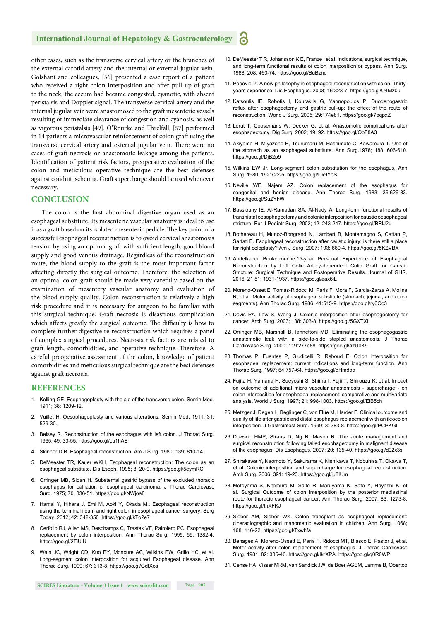#### **International Journal of Hepatology & Gastroenterology**

other cases, such as the transverse cervical artery or the branches of the external carotid artery and the internal or external jugular vein. Golshani and colleagues, [56] presented a case report of a patient who received a right colon interposition and after pull up of graft to the neck, the cecum had became congested, cyanotic, with absent peristalsis and Doppler signal. The transverse cervical artery and the internal jugular vein were anastomosed to the graft mesenteric vessels resulting of immediate clearance of congestion and cyanosis, as well as vigorous peristalsis [49]. O'Rourke and Threlfall, [57] performed in 14 patients a microvascular reinforcement of colon graft using the transverse cervical artery and external jugular vein. There were no cases of graft necrosis or anastomotic leakage among the patients. Identification of patient risk factors, preoperative evaluation of the colon and meticulous operative technique are the best defenses against conduit ischemia. Graft supercharge should be used whenever necessary.

#### **CONCLUSION**

The colon is the first abdominal digestive organ used as an esophageal substitute. Its mesenteric vascular anatomy is ideal to use it as a graft based on its isolated mesenteric pedicle. The key point of a successful esophageal reconstruction is to ovoid cervical anastomosis tension by using an optimal graft with sufficient length, good blood supply and good venous drainage. Regardless of the reconstruction route, the blood supply to the graft is the most important factor affecting directly the surgical outcome. Therefore, the selection of an optimal colon graft should be made very carefully based on the examination of mesentery vascular anatomy and evaluation of the blood supply quality. Colon reconstruction is relatively a high risk procedure and it is necessary for surgeon to be familiar with this surgical technique. Graft necrosis is disastrous complication which affects greatly the surgical outcome. The difficulty is how to complete further digestive re-reconstruction which requires a panel of complex surgical procedures. Necrosis risk factors are related to graft length, comorbidities, and operative technique. Therefore, A careful preoperative assessment of the colon, knowledge of patient comorbidities and meticulous surgical technique are the best defenses against graft necrosis.

#### **REFERENCES**

- 1. Kelling GE. Esophagoplasty with the aid of the transverse colon. Semin Med. 1911; 38: 1209-12.
- 2. Vuillet H. Oesophagoplasty and various alterations. Semin Med. 1911; 31: 529-30.
- 3. Belsey R. Reconstruction of the esophagus with left colon. J Thorac Surg. 1965; 49: 33-55. https://goo.gl/cu1hAE
- 4. Skinner D B. Esophageal reconstruction. Am J Surg. 1980; 139: 810-14.
- 5. DeMeester TR, Kauer WKH. Esophageal reconstruction: The colon as an esophageal substitute. Dis Esoph. 1995; 8: 20-9. https://goo.gl/5eymRC
- 6. Orringer MB, Sloan H. Substernal gastric bypass of the excluded thoracic esophagus for palliation of esophageal carcinoma. J Thorac Cardiovasc Surg. 1975; 70: 836-51. https://goo.gl/NWjoa8
- 7. Hamai Y, Hihara J, Emi M, Aoki Y, Okada M.. Esophageal reconstruction using the terminal ileum and right colon in esophageal cancer surgery. Surg Today. 2012; 42: 342-350 .https://goo.gl/kTo2e7
- 8. Cerfolio RJ, Allen MS, Deschamps C, Trastek VF, Pairolero PC. Esophageal replacement by colon interposition. Ann Thorac Surg. 1995; 59: 1382-4. https://goo.gl/2TiUiU
- 9. Wain JC, Wright CD, Kuo EY, Moncure AC, Wilkins EW, Grillo HC, et al. Long-segment colon interposition for acquired Esophageal disease. Ann Thorac Surg. 1999; 67: 313-8. https://goo.gl/GdfXos
- 10. DeMeester T R, Johansson K E, Franze I et al. Indications, surgical technique, and long-term functional results of colon interposition or bypass. Ann Surg. 1988; 208: 460-74. https://goo.gl/BuBznc
- 11. Popovici Z. A new philosophy in esophageal reconstruction with colon. Thirtyyears experience. Dis Esophagus. 2003; 16:323-7. https://goo.gl/U4Mz0u
- 12. Katsoulis IE, Robotis I, Kouraklis G, Yannopoulos P. Duodenogastric reflux after esophagectomy and gastric pull-up: the effect of the route of reconstruction. World J Surg. 2005; 29:174e81. https://goo.gl/7bqpxZ
- 13. Lerut T, Coosemans W, Decker G, et al. Anastomotic complications after esophagectomy. Dig Surg. 2002; 19: 92. https://goo.gl/OoF8A3
- 14. Akiyama H, Miyazono H, Tsurumaru M, Hashimoto C, Kawamura T. Use of the stomach as an esophageal substitute. Ann Surg.1978; 188: 606-610. https://goo.gl/DjB2p9
- 15. Wilkins EW Jr. Long-segment colon substitution for the esophagus. Ann Surg. 1980; 192:722-5. https://goo.gl/Dx9YoS
- 16. Neville WE, Najem AZ. Colon replacement of the esophagus for congenital and benign disease. Ann Thorac Surg. 1983; 36:626-33. https://goo.gl/SuZYhW
- 17. Bassiouny IE, Al-Ramadan SA, Al-Nady A. Long-term functional results of transhiatal oesophagectomy and colonic interposition for caustic oesophageal stricture. Eur J Pediatr Surg. 2002; 12: 243-247. https://goo.gl/BRlJ2u
- 18. Bothereau H, Munoz-Bongrand N, Lambert B, Montemagno S, Cattan P, Sarfati E. Esophageal reconstruction after caustic injury: is there still a place for right coloplasty? Am J Surg. 2007; 193: 660-4. https://goo.gl/5KZVBX
- 19. Abdelkader Boukerrouche.15-year Personal Experience of Esophageal Reconstruction by Left Colic Artery-dependent Colic Graft for Caustic Stricture: Surgical Technique and Postoperative Results. Journal of GHR. 2016; 21 51: 1931-1937. https://goo.gl/aax6jL
- 20. Moreno-Osset E, Tomas-Ridocci M, Paris F, Mora F, Garcia-Zarza A, Molina R, et al. Motor activity of esophageal substitute (stomach, jejunal, and colon segments). Ann Thorac Surg. 1986; 41:515-9. https://goo.gl/ry6Oc3
- 21. Davis PA, Law S, Wong J. Colonic interposition after esophagectomy for cancer. Arch Surg. 2003; 138: 303-8. https://goo.gl/5GXTXI
- 22. Orringer MB, Marshall B, Iannettoni MD. Eliminating the esophagogastric anastomotic leak with a side-to-side stapled anastomosis. J Thorac Cardiovasc Surg. 2000; 119:277e88. https://goo.gl/azU0K9
- 23. Thomas P, Fuentes P, Giudicelli R, Reboud E. Colon interposition for esophageal replacement: current indications and long-term function. Ann Thorac Surg. 1997; 64:757-64. https://goo.gl/dHmdbb
- 24. Fujita H, Yamana H, Sueyoshi S, Shima I, Fujii T, Shirouzu K, et al. Impact on outcome of additional micro vascular anastomosis - supercharge - on colon interposition for esophageal replacement: comparative and multivariate analysis. World J Surg. 1997; 21: 998-1003. https://goo.gl/EiB5ch
- 25. Metzger J, Degen L, Beglinger C, von Flüe M, Harder F. Clinical outcome and quality of life after gastric and distal esophagus replacement with an ileocolon interposition. J Gastrointest Surg. 1999; 3: 383-8. https://goo.gl/PCPKGI
- 26. Dowson HMP, Straus D, Ng R, Mason R. The acute management and surgical reconstruction following failed esophagectomy in malignant disease of the esophagus. Dis Esophagus. 2007; 20: 135-40. https://goo.gl/d92x3s
- 27. Shirakawa Y, Naomoto Y, Sakurama K, Nishikawa T, Nobuhisa T, Okawa T, et al. Colonic interposition and supercharge for esophageal reconstruction. Arch Surg. 2006; 391: 19-23. https://goo.gl/ju8IUm
- 28. Motoyama S, Kitamura M, Saito R, Maruyama K, Sato Y, Hayashi K, et al. Surgical Outcome of colon interposition by the posterior mediastinal route for thoracic esophageal cancer. Ann Thorac Surg. 2007; 83: 1273-8. https://goo.gl/tnXFKJ
- 29. Sieber AM, Sieber WK. Colon transplant as esophageal replacement: cineradiographic and manometric evaluation in children. Ann Surg. 1068; 168: 116-22. https://goo.gl/Txwhfa
- 30. Benages A, Moreno-Ossett E, Paris F, Ridocci MT, Blasco E, Pastor J, et al. Motor activity after colon replacement of esophagus. J Thorac Cardiovasc Surg. 1981; 82: 335-40. https://goo.gl/IkrXPA. https://goo.gl/q0R0WP
- 31. Cense HA, Visser MRM, van Sandick JW, de Boer AGEM, Lamme B, Obertop